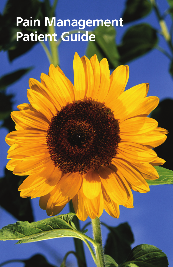# **Pain Management Patient Guide**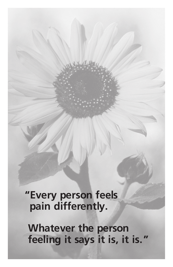**"Every person feels pain differently.**

 **Whatever the person feeling it says it is, it is."**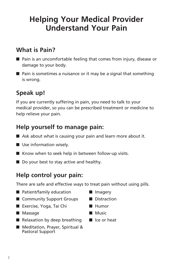## **Helping Your Medical Provider Understand Your Pain**

### **What is Pain?**

- $\blacksquare$  Pain is an uncomfortable feeling that comes from injury, disease or damage to your body.
- $\blacksquare$  Pain is sometimes a nuisance or it may be a signal that something is wrong.

### **Speak up!**

If you are currently suffering in pain, you need to talk to your medical provider, so you can be prescribed treatment or medicine to help relieve your pain.

### **Help yourself to manage pain:**

- $\blacksquare$  Ask about what is causing your pain and learn more about it.
- $\blacksquare$  Use information wisely.
- $\blacksquare$  Know when to seek help in between follow-up visits.
- $\blacksquare$  Do your best to stay active and healthy.

### **Help control your pain:**

There are safe and effective ways to treat pain without using pills.

- $\blacksquare$  Patient/family education
- Community Support Groups
- Exercise, Yoga, Tai Chi
- **n** Massage
- $\blacksquare$  Relaxation by deep breathing
- Meditation, Prayer, Spiritual & Pastoral Support
- **n** Imagery
- Distraction
- Humor
- $\blacksquare$  Music
- $\blacksquare$  Ice or heat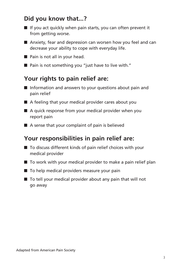### **Did you know that...?**

- $\blacksquare$  If you act quickly when pain starts, you can often prevent it from getting worse.
- $\blacksquare$  Anxiety, fear and depression can worsen how you feel and can decrease your ability to cope with everyday life.
- $\blacksquare$  Pain is not all in your head.
- $\blacksquare$  Pain is not something you "just have to live with."

#### **Your rights to pain relief are:**

- $\blacksquare$  Information and answers to your questions about pain and pain relief
- $\blacksquare$  A feeling that your medical provider cares about you
- $\blacksquare$  A quick response from your medical provider when you report pain
- $\blacksquare$  A sense that your complaint of pain is believed

#### **Your responsibilities in pain relief are:**

- $\blacksquare$  To discuss different kinds of pain relief choices with your medical provider
- $\blacksquare$  To work with your medical provider to make a pain relief plan
- $\blacksquare$  To help medical providers measure your pain
- $\blacksquare$  To tell your medical provider about any pain that will not go away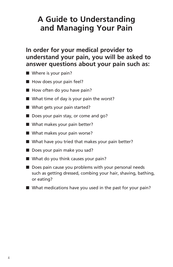## **A Guide to Understanding and Managing Your Pain**

#### **In order for your medical provider to understand your pain, you will be asked to answer questions about your pain such as:**

- $\blacksquare$  Where is your pain?
- $\blacksquare$  How does your pain feel?
- $\blacksquare$  How often do you have pain?
- $\blacksquare$  What time of day is your pain the worst?
- $\blacksquare$  What gets your pain started?
- Does your pain stay, or come and go?
- $\blacksquare$  What makes your pain better?
- $\blacksquare$  What makes your pain worse?
- $\blacksquare$  What have you tried that makes your pain better?
- $\blacksquare$  Does your pain make you sad?
- $\blacksquare$  What do you think causes your pain?
- $\blacksquare$  Does pain cause you problems with your personal needs such as getting dressed, combing your hair, shaving, bathing, or eating?
- $\blacksquare$  What medications have you used in the past for your pain?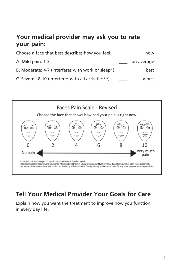### **Your medical provider may ask you to rate your pain:**

| Choose a face that best describes how you feel:    | now        |
|----------------------------------------------------|------------|
| A. Mild pain: 1-3                                  | on average |
| B. Moderate: 4-7 (interferes with work or sleep*)  | best       |
| C. Severe: 8-10 (interferes with all activities**) | worst      |



### **Tell Your Medical Provider Your Goals for Care**

Explain how you want the treatment to improve how you function in every day life.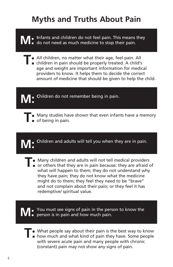# **Myths and Truths About Pain**

**M:** Infants and children do not feel pain. This means they do not need as much medicine to stop their pain.

- **T** All children, no matter what their age, feel pain. All children in pain should be properly treated. A child's age and weight are important information for medical providers to know. It helps them to decide the correct amount of medicine that should be given to help the child.
- **M**: Children do not remember being in pain.
	- **Many studies have shown that even infants have a memory** of being in pain.

**M: C**hildren and adults will tell you when they are in pain.

- 
- **T** Many children and adults will not tell medical providers<br>
or others that they are in pain because: they are afraid of what will happen to them; they do not understand why they have pain; they do not know what the medicine might do to them; they feel they need to be "brave" and not complain about their pain; or they feel it has redemptive/ spiritual value.

You must see signs of pain in the person to know the person is in pain and how much pain.

**T:** What people say about their pain is the best way to know <br> **how much and what kind of pain they have. Some people** with severe acute pain and many people with chronic (constant) pain may not show any signs of pain.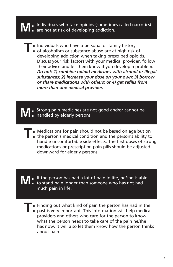# **M:** Individuals who take opioids (sometimes called narcotics) are not at risk of developing addiction.

- 
- II Individuals who have a personal or family history<br>
of alcoholism or substance abuse are at high risk of developing addiction when taking prescribed opioids. Discuss your risk factors with your medical provider, follow their advice and let them know if you develop a problem. *Do not: 1) combine opioid medicines with alcohol or illegal substances; 2) increase your dose on your own; 3) borrow or share medications with others; or 4) get refills from more than one medical provider.*

**M:** Strong pain medicines are not good and/or cannot be handled by elderly persons.

- **T**: Medications for pain should not be based on age but on <br>
the person's medical condition and the person's ability to
	- handle uncomfortable side effects. The first doses of strong medications or prescription pain pills should be adjusted downward for elderly persons.

**M:** If the person has had a lot of pain in life, he/she is able to stand pain longer than someone who has not had much pain in life.

- 
- **T:** Finding out what kind of pain the person has had in the past is very important. This information will help medical providers and others who care for the person to know what the person needs to take care of the pain he/she has now. It will also let them know how the person thinks about pain.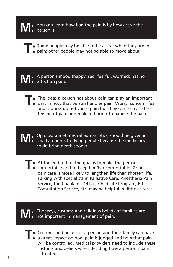**M:** You can learn how bad the pain is by how active the person is.

- **T** Some people may be able to be active when they are in pain; other people may not be able to move about.
	-

**M:** A person's mood (happy, sad, fearful, worried) has no effect on pain.

**TI** The ideas a person has about pain can play an important part in how that person handles pain. Worry, concern, fear and sadness do not cause pain but they can increase the feeling of pain and make it harder to handle the pain.

**M:** Opioids, sometimes called narcotics, should be given in small amounts to dying people because the medicines could bring death sooner.

**T**: At the end of life, the goal is to make the person comfortable and to keep him/her comfortable. Good pain care is more likely to lengthen life than shorten life. Talking with specialists in Palliative Care, Anesthesia Pain Service, the Chaplain's Office, Child Life Program, Ethics Consultation Service, etc. may be helpful in difficult cases.

**M:** The ways, customs and religious beliefs of families are not important in management of pain.

**T** Customs and beliefs of a person and their family can have<br> **a** great impact on how pain is judged and how that pain will be controlled. Medical providers need to include these customs and beliefs when deciding how a person's pain is treated.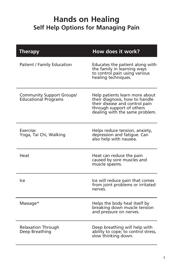### **Hands on Healing Self Help Options for Managing Pain**

| <b>Therapy</b>                                                  | How does it work?                                                                                                                                                 |
|-----------------------------------------------------------------|-------------------------------------------------------------------------------------------------------------------------------------------------------------------|
| <b>Patient / Family Education</b>                               | Educates the patient along with<br>the family in learning ways<br>to control pain using various<br>healing techniques.                                            |
| <b>Community Support Groups/</b><br><b>Educational Programs</b> | Help patients learn more about<br>their diagnosis, how to handle<br>their disease and control pain<br>through support of others<br>dealing with the same problem. |
| Exercise:<br>Yoga, Tai Chi, Walking                             | Helps reduce tension, anxiety,<br>depression and fatigue. Can<br>also help with nausea.                                                                           |
| Heat                                                            | Heat can reduce the pain<br>caused by sore muscles and<br>muscle spasms.                                                                                          |
| lce                                                             | Ice will reduce pain that comes<br>from joint problems or irritated<br>nerves.                                                                                    |
| Massage*                                                        | Helps the body heal itself by<br>breaking down muscle tension<br>and pressure on nerves.                                                                          |
| <b>Relaxation Through</b><br>Deep Breathing                     | Deep breathing will help with<br>ability to cope; to control stress,<br>slow thinking down.                                                                       |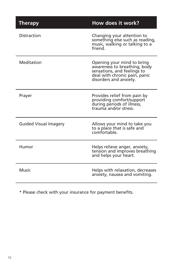| <b>Therapy</b>               | How does it work?                                                                                                                                    |
|------------------------------|------------------------------------------------------------------------------------------------------------------------------------------------------|
| Distraction                  | Changing your attention to<br>something else such as reading,<br>music, walking or talking to a<br>friend                                            |
| Meditation                   | Opening your mind to bring<br>awareness to breathing, body<br>sensations, and feelings to<br>deal with chronic pain, panic<br>disorders and anxiety. |
| Prayer                       | Provides relief from pain by<br>providing comfort/support<br>during periods of illness,<br>trauma and/or stress.                                     |
| <b>Guided Visual Imagery</b> | Allows your mind to take you<br>to a place that is safe and<br>comfortable.                                                                          |
| Humor                        | Helps relieve anger, anxiety,<br>tension and improves breathing<br>and helps your heart.                                                             |
| Music                        | Helps with relaxation, decreases<br>anxiety, nausea and vomiting.                                                                                    |

\* Please check with your insurance for payment benefits.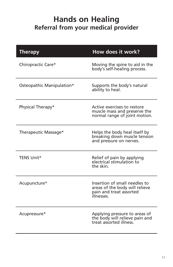### **Hands on Healing Referral from your medical provider**

| <b>Therapy</b>            | How does it work?                                                                                        |
|---------------------------|----------------------------------------------------------------------------------------------------------|
| Chiropractic Care*        | Moving the spine to aid in the<br>body's self-healing process.                                           |
| Osteopathic Manipulation* | Supports the body's natural<br>ability to heal.                                                          |
| Physical Therapy*         | Active exercises to restore<br>muscle mass and preserve the<br>normal range of joint motion.             |
| Therapeutic Massage*      | Helps the body heal itself by<br>breaking down muscle tension<br>and pressure on nerves.                 |
| TENS Unit*                | Relief of pain by applying<br>electrical stimulation to<br>the skin                                      |
| Acupuncture*              | Insertion of small needles to<br>areas of the body will relieve<br>pain and treat assorted<br>illnesses. |
| Acupressure*              | Applying pressure to areas of<br>the body will relieve pain and<br>treat assorted illness.               |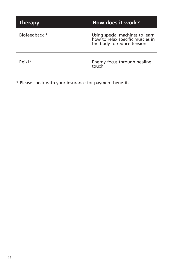**Therapy How does it work?** 

Biofeedback \* Using special machines to learn how to relax specific muscles in the body to reduce tension.

Reiki\* Energy focus through healing touch.

\* Please check with your insurance for payment benefits.